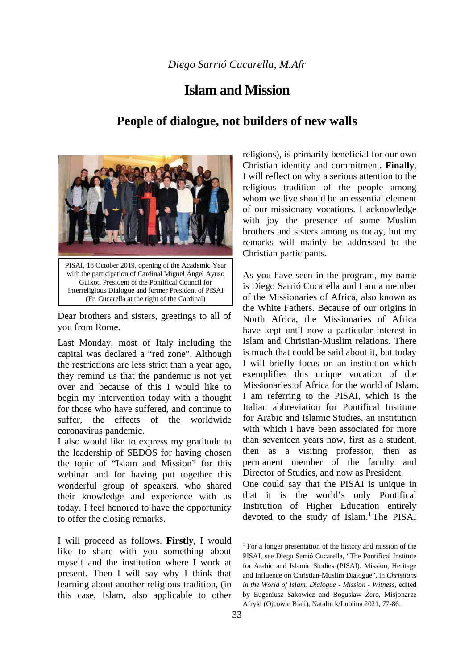## *Diego Sarrió Cucarella, M.Afr*

## **Islam and Mission**

## **People of dialogue, not builders of new walls**



Dear brothers and sisters, greetings to all of you from Rome.

Last Monday, most of Italy including the capital was declared a "red zone". Although the restrictions are less strict than a year ago, they remind us that the pandemic is not yet over and because of this I would like to begin my intervention today with a thought for those who have suffered, and continue to suffer, the effects of the worldwide coronavirus pandemic.

I also would like to express my gratitude to the leadership of SEDOS for having chosen the topic of "Islam and Mission" for this webinar and for having put together this wonderful group of speakers, who shared their knowledge and experience with us today. I feel honored to have the opportunity to offer the closing remarks.

I will proceed as follows. **Firstly**, I would like to share with you something about myself and the institution where I work at present. Then I will say why I think that learning about another religious tradition, (in this case, Islam, also applicable to other religions), is primarily beneficial for our own Christian identity and commitment. **Finally**, I will reflect on why a serious attention to the religious tradition of the people among whom we live should be an essential element of our missionary vocations. I acknowledge with joy the presence of some Muslim brothers and sisters among us today, but my remarks will mainly be addressed to the Christian participants.

As you have seen in the program, my name is Diego Sarrió Cucarella and I am a member of the Missionaries of Africa, also known as the White Fathers. Because of our origins in North Africa, the Missionaries of Africa have kept until now a particular interest in Islam and Christian-Muslim relations. There is much that could be said about it, but today I will briefly focus on an institution which exemplifies this unique vocation of the Missionaries of Africa for the world of Islam. I am referring to the PISAI, which is the Italian abbreviation for Pontifical Institute for Arabic and Islamic Studies, an institution with which I have been associated for more than seventeen years now, first as a student, then as a visiting professor, then as permanent member of the faculty and Director of Studies, and now as President. One could say that the PISAI is unique in that it is the world's only Pontifical Institution of Higher Education entirely devoted to the study of Islam.<sup>1</sup> The PISAI

<sup>&</sup>lt;sup>1</sup> For a longer presentation of the history and mission of the PISAI, see Diego Sarrió Cucarella, "The Pontifical Institute for Arabic and Islamic Studies (PISAI). Mission, Heritage and Influence on Christian-Muslim Dialogue", in *Christians in the World of Islam. Dialogue - Mission - Witness*, edited by Eugeniusz Sakowicz and Bogusław Żero, Misjonarze Afryki (Ojcowie Biali), Natalin k/Lublina 2021, 77-86.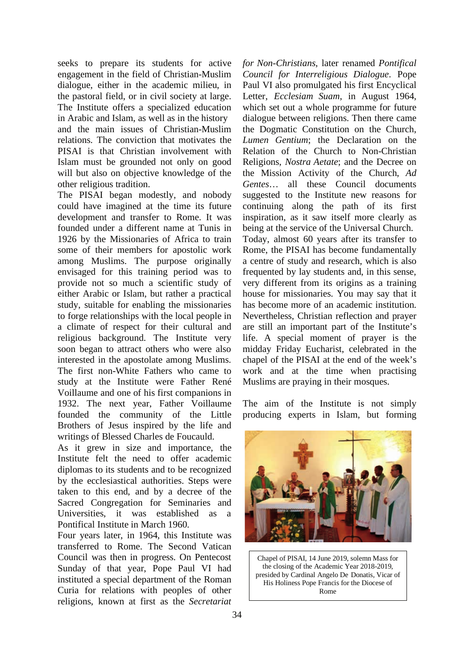seeks to prepare its students for active engagement in the field of Christian-Muslim dialogue, either in the academic milieu, in the pastoral field, or in civil society at large. The Institute offers a specialized education in Arabic and Islam, as well as in the history and the main issues of Christian-Muslim relations. The conviction that motivates the PISAI is that Christian involvement with Islam must be grounded not only on good will but also on objective knowledge of the other religious tradition.

The PISAI began modestly, and nobody could have imagined at the time its future development and transfer to Rome. It was founded under a different name at Tunis in 1926 by the Missionaries of Africa to train some of their members for apostolic work among Muslims. The purpose originally envisaged for this training period was to provide not so much a scientific study of either Arabic or Islam, but rather a practical study, suitable for enabling the missionaries to forge relationships with the local people in a climate of respect for their cultural and religious background. The Institute very soon began to attract others who were also interested in the apostolate among Muslims. The first non-White Fathers who came to study at the Institute were Father René Voillaume and one of his first companions in 1932. The next year, Father Voillaume founded the community of the Little Brothers of Jesus inspired by the life and writings of Blessed Charles de Foucauld.

As it grew in size and importance, the Institute felt the need to offer academic diplomas to its students and to be recognized by the ecclesiastical authorities. Steps were taken to this end, and by a decree of the Sacred Congregation for Seminaries and Universities, it was established as a Pontifical Institute in March 1960.

Four years later, in 1964, this Institute was transferred to Rome. The Second Vatican Council was then in progress. On Pentecost Sunday of that year, Pope Paul VI had instituted a special department of the Roman Curia for relations with peoples of other religions, known at first as the *Secretariat* 

*for Non-Christians*, later renamed *Pontifical Council for Interreligious Dialogue*. Pope Paul VI also promulgated his first Encyclical Letter, *Ecclesiam Suam*, in August 1964, which set out a whole programme for future dialogue between religions. Then there came the Dogmatic Constitution on the Church, *Lumen Gentium*; the Declaration on the Relation of the Church to Non-Christian Religions, *Nostra Aetate*; and the Decree on the Mission Activity of the Church, *Ad Gentes*… all these Council documents suggested to the Institute new reasons for continuing along the path of its first inspiration, as it saw itself more clearly as being at the service of the Universal Church. Today, almost 60 years after its transfer to Rome, the PISAI has become fundamentally a centre of study and research, which is also frequented by lay students and, in this sense, very different from its origins as a training house for missionaries. You may say that it has become more of an academic institution. Nevertheless, Christian reflection and prayer are still an important part of the Institute's life. A special moment of prayer is the midday Friday Eucharist, celebrated in the chapel of the PISAI at the end of the week's work and at the time when practising Muslims are praying in their mosques.

The aim of the Institute is not simply producing experts in Islam, but forming



Chapel of PISAI, 14 June 2019, solemn Mass for the closing of the Academic Year 2018-2019, presided by Cardinal Angelo De Donatis, Vicar of His Holiness Pope Francis for the Diocese of Rome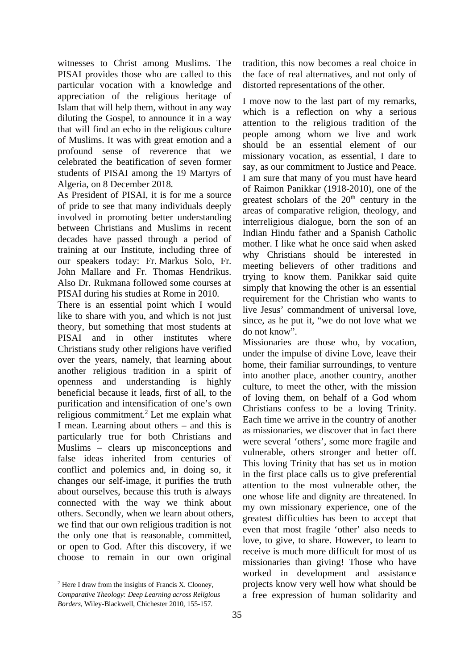witnesses to Christ among Muslims. The PISAI provides those who are called to this particular vocation with a knowledge and appreciation of the religious heritage of Islam that will help them, without in any way diluting the Gospel, to announce it in a way that will find an echo in the religious culture of Muslims. It was with great emotion and a profound sense of reverence that we celebrated the beatification of seven former students of PISAI among the 19 Martyrs of Algeria, on 8 December 2018.

As President of PISAI, it is for me a source of pride to see that many individuals deeply involved in promoting better understanding between Christians and Muslims in recent decades have passed through a period of training at our Institute, including three of our speakers today: Fr. Markus Solo, Fr. John Mallare and Fr. Thomas Hendrikus. Also Dr. Rukmana followed some courses at PISAI during his studies at Rome in 2010.

There is an essential point which I would like to share with you, and which is not just theory, but something that most students at PISAI and in other institutes where Christians study other religions have verified over the years, namely, that learning about another religious tradition in a spirit of openness and understanding is highly beneficial because it leads, first of all, to the purification and intensification of one's own religious commitment.<sup>2</sup> Let me explain what I mean. Learning about others – and this is particularly true for both Christians and Muslims – clears up misconceptions and false ideas inherited from centuries of conflict and polemics and, in doing so, it changes our self-image, it purifies the truth about ourselves, because this truth is always connected with the way we think about others. Secondly, when we learn about others, we find that our own religious tradition is not the only one that is reasonable, committed, or open to God. After this discovery, if we choose to remain in our own original

tradition, this now becomes a real choice in the face of real alternatives, and not only of distorted representations of the other.

I move now to the last part of my remarks, which is a reflection on why a serious attention to the religious tradition of the people among whom we live and work should be an essential element of our missionary vocation, as essential, I dare to say, as our commitment to Justice and Peace. I am sure that many of you must have heard of Raimon Panikkar (1918-2010), one of the greatest scholars of the  $20<sup>th</sup>$  century in the areas of comparative religion, theology, and interreligious dialogue, born the son of an Indian Hindu father and a Spanish Catholic mother. I like what he once said when asked why Christians should be interested in meeting believers of other traditions and trying to know them. Panikkar said quite simply that knowing the other is an essential requirement for the Christian who wants to live Jesus' commandment of universal love, since, as he put it, "we do not love what we do not know".

Missionaries are those who, by vocation, under the impulse of divine Love, leave their home, their familiar surroundings, to venture into another place, another country, another culture, to meet the other, with the mission of loving them, on behalf of a God whom Christians confess to be a loving Trinity. Each time we arrive in the country of another as missionaries, we discover that in fact there were several 'others', some more fragile and vulnerable, others stronger and better off. This loving Trinity that has set us in motion in the first place calls us to give preferential attention to the most vulnerable other, the one whose life and dignity are threatened. In my own missionary experience, one of the greatest difficulties has been to accept that even that most fragile 'other' also needs to love, to give, to share. However, to learn to receive is much more difficult for most of us missionaries than giving! Those who have worked in development and assistance projects know very well how what should be a free expression of human solidarity and

 $2$  Here I draw from the insights of Francis X. Clooney, *Comparative Theology: Deep Learning across Religious Borders*, Wiley-Blackwell, Chichester 2010, 155-157.